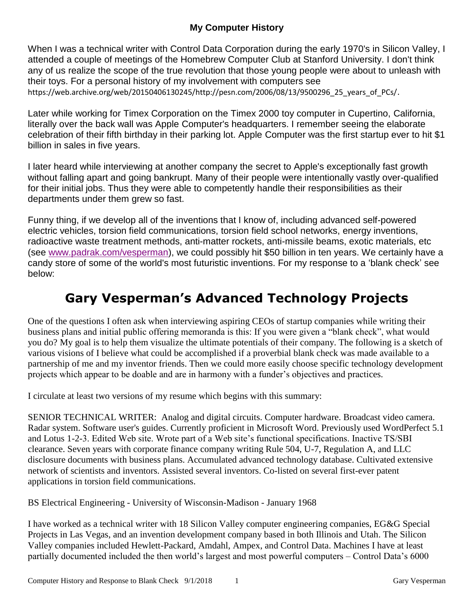## **My Computer History**

When I was a technical writer with Control Data Corporation during the early 1970's in Silicon Valley, I attended a couple of meetings of the Homebrew Computer Club at Stanford University. I don't think any of us realize the scope of the true revolution that those young people were about to unleash with their toys. For a personal history of my involvement with computers see https://web.archive.org/web/20150406130245/http://pesn.com/2006/08/13/9500296\_25\_years\_of\_PCs/.

Later while working for Timex Corporation on the Timex 2000 toy computer in Cupertino, California, literally over the back wall was Apple Computer's headquarters. I remember seeing the elaborate celebration of their fifth birthday in their parking lot. Apple Computer was the first startup ever to hit \$1 billion in sales in five years.

I later heard while interviewing at another company the secret to Apple's exceptionally fast growth without falling apart and going bankrupt. Many of their people were intentionally vastly over-qualified for their initial jobs. Thus they were able to competently handle their responsibilities as their departments under them grew so fast.

Funny thing, if we develop all of the inventions that I know of, including advanced self-powered electric vehicles, torsion field communications, torsion field school networks, energy inventions, radioactive waste treatment methods, anti-matter rockets, anti-missile beams, exotic materials, etc (see [www.padrak.com/vesperman\)](http://www.padrak.com/vesperman), we could possibly hit \$50 billion in ten years. We certainly have a candy store of some of the world's most futuristic inventions. For my response to a 'blank check' see below:

# **Gary Vesperman's Advanced Technology Projects**

One of the questions I often ask when interviewing aspiring CEOs of startup companies while writing their business plans and initial public offering memoranda is this: If you were given a "blank check", what would you do? My goal is to help them visualize the ultimate potentials of their company. The following is a sketch of various visions of I believe what could be accomplished if a proverbial blank check was made available to a partnership of me and my inventor friends. Then we could more easily choose specific technology development projects which appear to be doable and are in harmony with a funder's objectives and practices.

I circulate at least two versions of my resume which begins with this summary:

SENIOR TECHNICAL WRITER: Analog and digital circuits. Computer hardware. Broadcast video camera. Radar system. Software user's guides. Currently proficient in Microsoft Word. Previously used WordPerfect 5.1 and Lotus 1-2-3. Edited Web site. Wrote part of a Web site's functional specifications. Inactive TS/SBI clearance. Seven years with corporate finance company writing Rule 504, U-7, Regulation A, and LLC disclosure documents with business plans. Accumulated advanced technology database. Cultivated extensive network of scientists and inventors. Assisted several inventors. Co-listed on several first-ever patent applications in torsion field communications.

BS Electrical Engineering - University of Wisconsin-Madison - January 1968

I have worked as a technical writer with 18 Silicon Valley computer engineering companies, EG&G Special Projects in Las Vegas, and an invention development company based in both Illinois and Utah. The Silicon Valley companies included Hewlett-Packard, Amdahl, Ampex, and Control Data. Machines I have at least partially documented included the then world's largest and most powerful computers – Control Data's 6000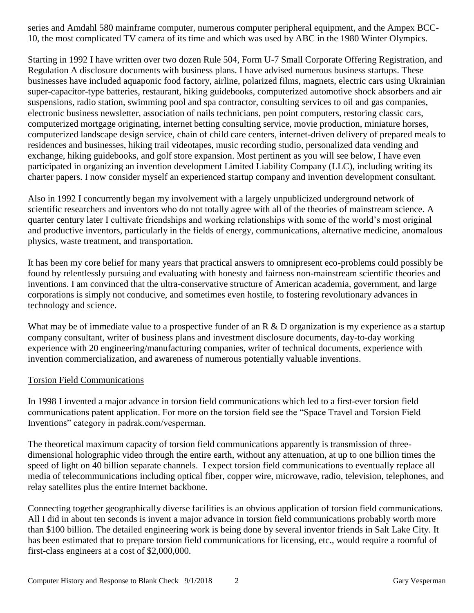series and Amdahl 580 mainframe computer, numerous computer peripheral equipment, and the Ampex BCC-10, the most complicated TV camera of its time and which was used by ABC in the 1980 Winter Olympics.

Starting in 1992 I have written over two dozen Rule 504, Form U-7 Small Corporate Offering Registration, and Regulation A disclosure documents with business plans. I have advised numerous business startups. These businesses have included aquaponic food factory, airline, polarized films, magnets, electric cars using Ukrainian super-capacitor-type batteries, restaurant, hiking guidebooks, computerized automotive shock absorbers and air suspensions, radio station, swimming pool and spa contractor, consulting services to oil and gas companies, electronic business newsletter, association of nails technicians, pen point computers, restoring classic cars, computerized mortgage originating, internet betting consulting service, movie production, miniature horses, computerized landscape design service, chain of child care centers, internet-driven delivery of prepared meals to residences and businesses, hiking trail videotapes, music recording studio, personalized data vending and exchange, hiking guidebooks, and golf store expansion. Most pertinent as you will see below, I have even participated in organizing an invention development Limited Liability Company (LLC), including writing its charter papers. I now consider myself an experienced startup company and invention development consultant.

Also in 1992 I concurrently began my involvement with a largely unpublicized underground network of scientific researchers and inventors who do not totally agree with all of the theories of mainstream science. A quarter century later I cultivate friendships and working relationships with some of the world's most original and productive inventors, particularly in the fields of energy, communications, alternative medicine, anomalous physics, waste treatment, and transportation.

It has been my core belief for many years that practical answers to omnipresent eco-problems could possibly be found by relentlessly pursuing and evaluating with honesty and fairness non-mainstream scientific theories and inventions. I am convinced that the ultra-conservative structure of American academia, government, and large corporations is simply not conducive, and sometimes even hostile, to fostering revolutionary advances in technology and science.

What may be of immediate value to a prospective funder of an R & D organization is my experience as a startup company consultant, writer of business plans and investment disclosure documents, day-to-day working experience with 20 engineering/manufacturing companies, writer of technical documents, experience with invention commercialization, and awareness of numerous potentially valuable inventions.

#### Torsion Field Communications

In 1998 I invented a major advance in torsion field communications which led to a first-ever torsion field communications patent application. For more on the torsion field see the "Space Travel and Torsion Field Inventions" category in padrak.com/vesperman.

The theoretical maximum capacity of torsion field communications apparently is transmission of threedimensional holographic video through the entire earth, without any attenuation, at up to one billion times the speed of light on 40 billion separate channels. I expect torsion field communications to eventually replace all media of telecommunications including optical fiber, copper wire, microwave, radio, television, telephones, and relay satellites plus the entire Internet backbone.

Connecting together geographically diverse facilities is an obvious application of torsion field communications. All I did in about ten seconds is invent a major advance in torsion field communications probably worth more than \$100 billion. The detailed engineering work is being done by several inventor friends in Salt Lake City. It has been estimated that to prepare torsion field communications for licensing, etc., would require a roomful of first-class engineers at a cost of \$2,000,000.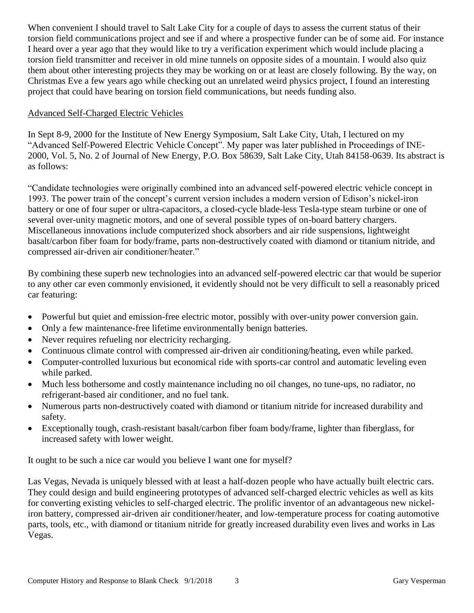When convenient I should travel to Salt Lake City for a couple of days to assess the current status of their torsion field communications project and see if and where a prospective funder can be of some aid. For instance I heard over a year ago that they would like to try a verification experiment which would include placing a torsion field transmitter and receiver in old mine tunnels on opposite sides of a mountain. I would also quiz them about other interesting projects they may be working on or at least are closely following. By the way, on Christmas Eve a few years ago while checking out an unrelated weird physics project, I found an interesting project that could have bearing on torsion field communications, but needs funding also.

## Advanced Self-Charged Electric Vehicles

In Sept 8-9, 2000 for the Institute of New Energy Symposium, Salt Lake City, Utah, I lectured on my "Advanced Self-Powered Electric Vehicle Concept". My paper was later published in Proceedings of INE-2000, Vol. 5, No. 2 of Journal of New Energy, P.O. Box 58639, Salt Lake City, Utah 84158-0639. Its abstract is as follows:

"Candidate technologies were originally combined into an advanced self-powered electric vehicle concept in 1993. The power train of the concept's current version includes a modern version of Edison's nickel-iron battery or one of four super or ultra-capacitors, a closed-cycle blade-less Tesla-type steam turbine or one of several over-unity magnetic motors, and one of several possible types of on-board battery chargers. Miscellaneous innovations include computerized shock absorbers and air ride suspensions, lightweight basalt/carbon fiber foam for body/frame, parts non-destructively coated with diamond or titanium nitride, and compressed air-driven air conditioner/heater."

By combining these superb new technologies into an advanced self-powered electric car that would be superior to any other car even commonly envisioned, it evidently should not be very difficult to sell a reasonably priced car featuring:

- Powerful but quiet and emission-free electric motor, possibly with over-unity power conversion gain.
- Only a few maintenance-free lifetime environmentally benign batteries.
- Never requires refueling nor electricity recharging.
- Continuous climate control with compressed air-driven air conditioning/heating, even while parked.
- Computer-controlled luxurious but economical ride with sports-car control and automatic leveling even while parked.
- Much less bothersome and costly maintenance including no oil changes, no tune-ups, no radiator, no refrigerant-based air conditioner, and no fuel tank.
- Numerous parts non-destructively coated with diamond or titanium nitride for increased durability and safety.
- Exceptionally tough, crash-resistant basalt/carbon fiber foam body/frame, lighter than fiberglass, for increased safety with lower weight.

It ought to be such a nice car would you believe I want one for myself?

Las Vegas, Nevada is uniquely blessed with at least a half-dozen people who have actually built electric cars. They could design and build engineering prototypes of advanced self-charged electric vehicles as well as kits for converting existing vehicles to self-charged electric. The prolific inventor of an advantageous new nickeliron battery, compressed air-driven air conditioner/heater, and low-temperature process for coating automotive parts, tools, etc., with diamond or titanium nitride for greatly increased durability even lives and works in Las Vegas.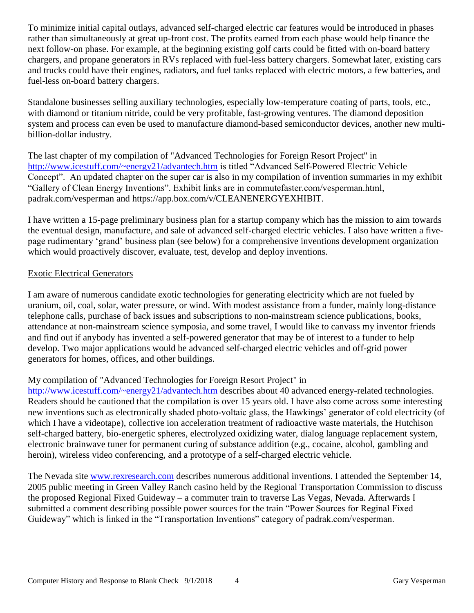To minimize initial capital outlays, advanced self-charged electric car features would be introduced in phases rather than simultaneously at great up-front cost. The profits earned from each phase would help finance the next follow-on phase. For example, at the beginning existing golf carts could be fitted with on-board battery chargers, and propane generators in RVs replaced with fuel-less battery chargers. Somewhat later, existing cars and trucks could have their engines, radiators, and fuel tanks replaced with electric motors, a few batteries, and fuel-less on-board battery chargers.

Standalone businesses selling auxiliary technologies, especially low-temperature coating of parts, tools, etc., with diamond or titanium nitride, could be very profitable, fast-growing ventures. The diamond deposition system and process can even be used to manufacture diamond-based semiconductor devices, another new multibillion-dollar industry.

The last chapter of my compilation of "Advanced Technologies for Foreign Resort Project" in <http://www.icestuff.com/~energy21/advantech.htm> is titled "Advanced Self-Powered Electric Vehicle Concept". An updated chapter on the super car is also in my compilation of invention summaries in my exhibit "Gallery of Clean Energy Inventions". Exhibit links are in commutefaster.com/vesperman.html, padrak.com/vesperman and https://app.box.com/v/CLEANENERGYEXHIBIT.

I have written a 15-page preliminary business plan for a startup company which has the mission to aim towards the eventual design, manufacture, and sale of advanced self-charged electric vehicles. I also have written a fivepage rudimentary 'grand' business plan (see below) for a comprehensive inventions development organization which would proactively discover, evaluate, test, develop and deploy inventions.

#### Exotic Electrical Generators

I am aware of numerous candidate exotic technologies for generating electricity which are not fueled by uranium, oil, coal, solar, water pressure, or wind. With modest assistance from a funder, mainly long-distance telephone calls, purchase of back issues and subscriptions to non-mainstream science publications, books, attendance at non-mainstream science symposia, and some travel, I would like to canvass my inventor friends and find out if anybody has invented a self-powered generator that may be of interest to a funder to help develop. Two major applications would be advanced self-charged electric vehicles and off-grid power generators for homes, offices, and other buildings.

## My compilation of "Advanced Technologies for Foreign Resort Project" in

<http://www.icestuff.com/~energy21/advantech.htm> describes about 40 advanced energy-related technologies. Readers should be cautioned that the compilation is over 15 years old. I have also come across some interesting new inventions such as electronically shaded photo-voltaic glass, the Hawkings' generator of cold electricity (of which I have a videotape), collective ion acceleration treatment of radioactive waste materials, the Hutchison self-charged battery, bio-energetic spheres, electrolyzed oxidizing water, dialog language replacement system, electronic brainwave tuner for permanent curing of substance addition (e.g., cocaine, alcohol, gambling and heroin), wireless video conferencing, and a prototype of a self-charged electric vehicle.

The Nevada site [www.rexresearch.com](http://www.rexresearch.com/) describes numerous additional inventions. I attended the September 14, 2005 public meeting in Green Valley Ranch casino held by the Regional Transportation Commission to discuss the proposed Regional Fixed Guideway – a commuter train to traverse Las Vegas, Nevada. Afterwards I submitted a comment describing possible power sources for the train "Power Sources for Reginal Fixed Guideway" which is linked in the "Transportation Inventions" category of padrak.com/vesperman.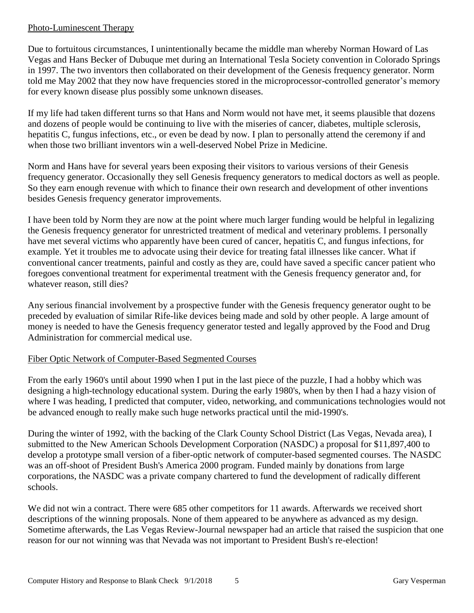#### Photo-Luminescent Therapy

Due to fortuitous circumstances, I unintentionally became the middle man whereby Norman Howard of Las Vegas and Hans Becker of Dubuque met during an International Tesla Society convention in Colorado Springs in 1997. The two inventors then collaborated on their development of the Genesis frequency generator. Norm told me May 2002 that they now have frequencies stored in the microprocessor-controlled generator's memory for every known disease plus possibly some unknown diseases.

If my life had taken different turns so that Hans and Norm would not have met, it seems plausible that dozens and dozens of people would be continuing to live with the miseries of cancer, diabetes, multiple sclerosis, hepatitis C, fungus infections, etc., or even be dead by now. I plan to personally attend the ceremony if and when those two brilliant inventors win a well-deserved Nobel Prize in Medicine.

Norm and Hans have for several years been exposing their visitors to various versions of their Genesis frequency generator. Occasionally they sell Genesis frequency generators to medical doctors as well as people. So they earn enough revenue with which to finance their own research and development of other inventions besides Genesis frequency generator improvements.

I have been told by Norm they are now at the point where much larger funding would be helpful in legalizing the Genesis frequency generator for unrestricted treatment of medical and veterinary problems. I personally have met several victims who apparently have been cured of cancer, hepatitis C, and fungus infections, for example. Yet it troubles me to advocate using their device for treating fatal illnesses like cancer. What if conventional cancer treatments, painful and costly as they are, could have saved a specific cancer patient who foregoes conventional treatment for experimental treatment with the Genesis frequency generator and, for whatever reason, still dies?

Any serious financial involvement by a prospective funder with the Genesis frequency generator ought to be preceded by evaluation of similar Rife-like devices being made and sold by other people. A large amount of money is needed to have the Genesis frequency generator tested and legally approved by the Food and Drug Administration for commercial medical use.

#### Fiber Optic Network of Computer-Based Segmented Courses

From the early 1960's until about 1990 when I put in the last piece of the puzzle, I had a hobby which was designing a high-technology educational system. During the early 1980's, when by then I had a hazy vision of where I was heading, I predicted that computer, video, networking, and communications technologies would not be advanced enough to really make such huge networks practical until the mid-1990's.

During the winter of 1992, with the backing of the Clark County School District (Las Vegas, Nevada area), I submitted to the New American Schools Development Corporation (NASDC) a proposal for \$11,897,400 to develop a prototype small version of a fiber-optic network of computer-based segmented courses. The NASDC was an off-shoot of President Bush's America 2000 program. Funded mainly by donations from large corporations, the NASDC was a private company chartered to fund the development of radically different schools.

We did not win a contract. There were 685 other competitors for 11 awards. Afterwards we received short descriptions of the winning proposals. None of them appeared to be anywhere as advanced as my design. Sometime afterwards, the Las Vegas Review-Journal newspaper had an article that raised the suspicion that one reason for our not winning was that Nevada was not important to President Bush's re-election!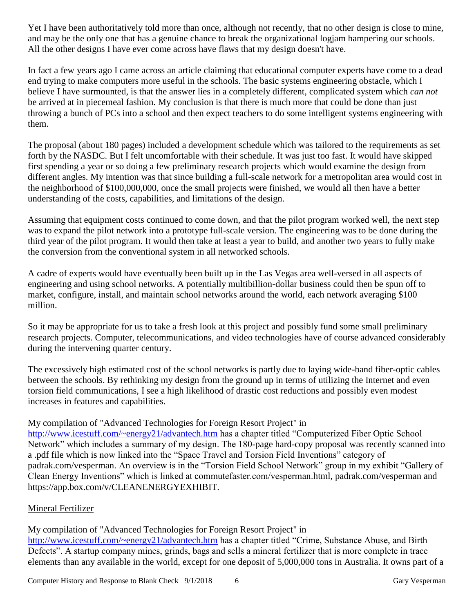Yet I have been authoritatively told more than once, although not recently, that no other design is close to mine, and may be the only one that has a genuine chance to break the organizational logjam hampering our schools. All the other designs I have ever come across have flaws that my design doesn't have.

In fact a few years ago I came across an article claiming that educational computer experts have come to a dead end trying to make computers more useful in the schools. The basic systems engineering obstacle, which I believe I have surmounted, is that the answer lies in a completely different, complicated system which *can not*  be arrived at in piecemeal fashion. My conclusion is that there is much more that could be done than just throwing a bunch of PCs into a school and then expect teachers to do some intelligent systems engineering with them.

The proposal (about 180 pages) included a development schedule which was tailored to the requirements as set forth by the NASDC. But I felt uncomfortable with their schedule. It was just too fast. It would have skipped first spending a year or so doing a few preliminary research projects which would examine the design from different angles. My intention was that since building a full-scale network for a metropolitan area would cost in the neighborhood of \$100,000,000, once the small projects were finished, we would all then have a better understanding of the costs, capabilities, and limitations of the design.

Assuming that equipment costs continued to come down, and that the pilot program worked well, the next step was to expand the pilot network into a prototype full-scale version. The engineering was to be done during the third year of the pilot program. It would then take at least a year to build, and another two years to fully make the conversion from the conventional system in all networked schools.

A cadre of experts would have eventually been built up in the Las Vegas area well-versed in all aspects of engineering and using school networks. A potentially multibillion-dollar business could then be spun off to market, configure, install, and maintain school networks around the world, each network averaging \$100 million.

So it may be appropriate for us to take a fresh look at this project and possibly fund some small preliminary research projects. Computer, telecommunications, and video technologies have of course advanced considerably during the intervening quarter century.

The excessively high estimated cost of the school networks is partly due to laying wide-band fiber-optic cables between the schools. By rethinking my design from the ground up in terms of utilizing the Internet and even torsion field communications, I see a high likelihood of drastic cost reductions and possibly even modest increases in features and capabilities.

## My compilation of "Advanced Technologies for Foreign Resort Project" in

<http://www.icestuff.com/~energy21/advantech.htm> has a chapter titled "Computerized Fiber Optic School" Network" which includes a summary of my design. The 180-page hard-copy proposal was recently scanned into a .pdf file which is now linked into the "Space Travel and Torsion Field Inventions" category of padrak.com/vesperman. An overview is in the "Torsion Field School Network" group in my exhibit "Gallery of Clean Energy Inventions" which is linked at commutefaster.com/vesperman.html, padrak.com/vesperman and https://app.box.com/v/CLEANENERGYEXHIBIT.

## Mineral Fertilizer

My compilation of "Advanced Technologies for Foreign Resort Project" in <http://www.icestuff.com/~energy21/advantech.htm> has a chapter titled "Crime, Substance Abuse, and Birth Defects". A startup company mines, grinds, bags and sells a mineral fertilizer that is more complete in trace elements than any available in the world, except for one deposit of 5,000,000 tons in Australia. It owns part of a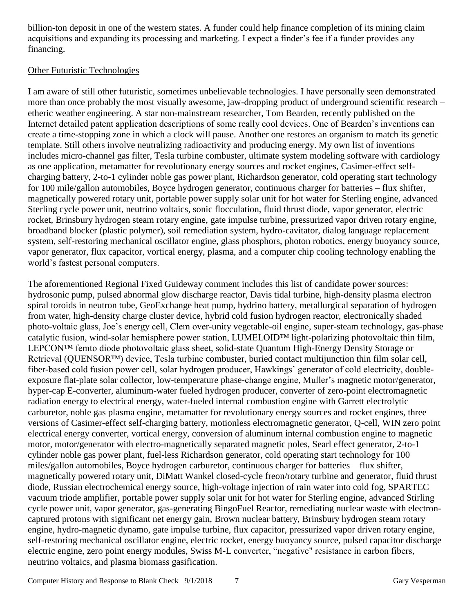billion-ton deposit in one of the western states. A funder could help finance completion of its mining claim acquisitions and expanding its processing and marketing. I expect a finder's fee if a funder provides any financing.

#### Other Futuristic Technologies

I am aware of still other futuristic, sometimes unbelievable technologies. I have personally seen demonstrated more than once probably the most visually awesome, jaw-dropping product of underground scientific research – etheric weather engineering. A star non-mainstream researcher, Tom Bearden, recently published on the Internet detailed patent application descriptions of some really cool devices. One of Bearden's inventions can create a time-stopping zone in which a clock will pause. Another one restores an organism to match its genetic template. Still others involve neutralizing radioactivity and producing energy. My own list of inventions includes micro-channel gas filter, Tesla turbine combuster, ultimate system modeling software with cardiology as one application, metamatter for revolutionary energy sources and rocket engines, Casimer-effect selfcharging battery, 2-to-1 cylinder noble gas power plant, Richardson generator, cold operating start technology for 100 mile/gallon automobiles, Boyce hydrogen generator, continuous charger for batteries – flux shifter, magnetically powered rotary unit, portable power supply solar unit for hot water for Sterling engine, advanced Sterling cycle power unit, neutrino voltaics, sonic flocculation, fluid thrust diode, vapor generator, electric rocket, Brinsbury hydrogen steam rotary engine, gate impulse turbine, pressurized vapor driven rotary engine, broadband blocker (plastic polymer), soil remediation system, hydro-cavitator, dialog language replacement system, self-restoring mechanical oscillator engine, glass phosphors, photon robotics, energy buoyancy source, vapor generator, flux capacitor, vortical energy, plasma, and a computer chip cooling technology enabling the world's fastest personal computers.

The aforementioned Regional Fixed Guideway comment includes this list of candidate power sources: hydrosonic pump, pulsed abnormal glow discharge reactor, Davis tidal turbine, high-density plasma electron spiral toroids in neutron tube, GeoExchange heat pump, hydrino battery, metallurgical separation of hydrogen from water, high-density charge cluster device, hybrid cold fusion hydrogen reactor, electronically shaded photo-voltaic glass, Joe's energy cell, Clem over-unity vegetable-oil engine, super-steam technology, gas-phase catalytic fusion, wind-solar hemisphere power station, LUMELOID™ light-polarizing photovoltaic thin film, LEPCON™ femto diode photovoltaic glass sheet, solid-state Quantum High-Energy Density Storage or Retrieval (OUENSOR™) device, Tesla turbine combuster, buried contact multijunction thin film solar cell, fiber-based cold fusion power cell, solar hydrogen producer, Hawkings' generator of cold electricity, doubleexposure flat-plate solar collector, low-temperature phase-change engine, Muller's magnetic motor/generator, hyper-cap E-converter, aluminum-water fueled hydrogen producer, converter of zero-point electromagnetic radiation energy to electrical energy, water-fueled internal combustion engine with Garrett electrolytic carburetor, noble gas plasma engine, metamatter for revolutionary energy sources and rocket engines, three versions of Casimer-effect self-charging battery, motionless electromagnetic generator, Q-cell, WIN zero point electrical energy converter, vortical energy, conversion of aluminum internal combustion engine to magnetic motor, motor/generator with electro-magnetically separated magnetic poles, Searl effect generator, 2-to-1 cylinder noble gas power plant, fuel-less Richardson generator, cold operating start technology for 100 miles/gallon automobiles, Boyce hydrogen carburetor, continuous charger for batteries – flux shifter, magnetically powered rotary unit, DiMatt Wankel closed-cycle freon/rotary turbine and generator, fluid thrust diode, Russian electrochemical energy source, high-voltage injection of rain water into cold fog, SPARTEC vacuum triode amplifier, portable power supply solar unit for hot water for Sterling engine, advanced Stirling cycle power unit, vapor generator, gas-generating BingoFuel Reactor, remediating nuclear waste with electroncaptured protons with significant net energy gain, Brown nuclear battery, Brinsbury hydrogen steam rotary engine, hydro-magnetic dynamo, gate impulse turbine, flux capacitor, pressurized vapor driven rotary engine, self-restoring mechanical oscillator engine, electric rocket, energy buoyancy source, pulsed capacitor discharge electric engine, zero point energy modules, Swiss M-L converter, "negative" resistance in carbon fibers, neutrino voltaics, and plasma biomass gasification.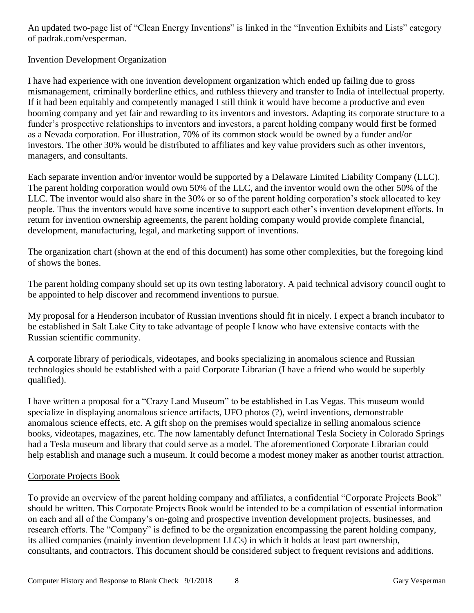An updated two-page list of "Clean Energy Inventions" is linked in the "Invention Exhibits and Lists" category of padrak.com/vesperman.

## Invention Development Organization

I have had experience with one invention development organization which ended up failing due to gross mismanagement, criminally borderline ethics, and ruthless thievery and transfer to India of intellectual property. If it had been equitably and competently managed I still think it would have become a productive and even booming company and yet fair and rewarding to its inventors and investors. Adapting its corporate structure to a funder's prospective relationships to inventors and investors, a parent holding company would first be formed as a Nevada corporation. For illustration, 70% of its common stock would be owned by a funder and/or investors. The other 30% would be distributed to affiliates and key value providers such as other inventors, managers, and consultants.

Each separate invention and/or inventor would be supported by a Delaware Limited Liability Company (LLC). The parent holding corporation would own 50% of the LLC, and the inventor would own the other 50% of the LLC. The inventor would also share in the 30% or so of the parent holding corporation's stock allocated to key people. Thus the inventors would have some incentive to support each other's invention development efforts. In return for invention ownership agreements, the parent holding company would provide complete financial, development, manufacturing, legal, and marketing support of inventions.

The organization chart (shown at the end of this document) has some other complexities, but the foregoing kind of shows the bones.

The parent holding company should set up its own testing laboratory. A paid technical advisory council ought to be appointed to help discover and recommend inventions to pursue.

My proposal for a Henderson incubator of Russian inventions should fit in nicely. I expect a branch incubator to be established in Salt Lake City to take advantage of people I know who have extensive contacts with the Russian scientific community.

A corporate library of periodicals, videotapes, and books specializing in anomalous science and Russian technologies should be established with a paid Corporate Librarian (I have a friend who would be superbly qualified).

I have written a proposal for a "Crazy Land Museum" to be established in Las Vegas. This museum would specialize in displaying anomalous science artifacts, UFO photos (?), weird inventions, demonstrable anomalous science effects, etc. A gift shop on the premises would specialize in selling anomalous science books, videotapes, magazines, etc. The now lamentably defunct International Tesla Society in Colorado Springs had a Tesla museum and library that could serve as a model. The aforementioned Corporate Librarian could help establish and manage such a museum. It could become a modest money maker as another tourist attraction.

## Corporate Projects Book

To provide an overview of the parent holding company and affiliates, a confidential "Corporate Projects Book" should be written. This Corporate Projects Book would be intended to be a compilation of essential information on each and all of the Company's on-going and prospective invention development projects, businesses, and research efforts. The "Company" is defined to be the organization encompassing the parent holding company, its allied companies (mainly invention development LLCs) in which it holds at least part ownership, consultants, and contractors. This document should be considered subject to frequent revisions and additions.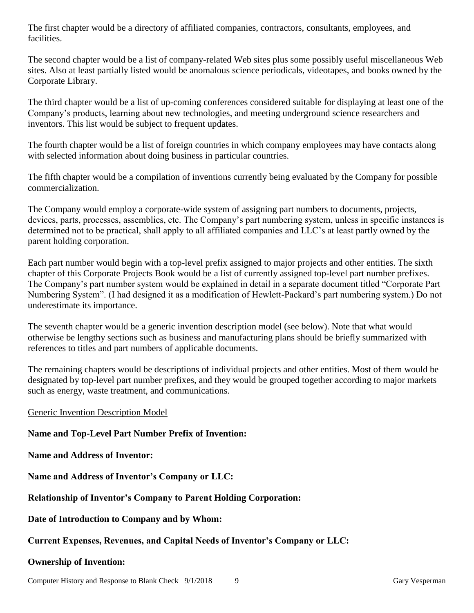The first chapter would be a directory of affiliated companies, contractors, consultants, employees, and facilities.

The second chapter would be a list of company-related Web sites plus some possibly useful miscellaneous Web sites. Also at least partially listed would be anomalous science periodicals, videotapes, and books owned by the Corporate Library.

The third chapter would be a list of up-coming conferences considered suitable for displaying at least one of the Company's products, learning about new technologies, and meeting underground science researchers and inventors. This list would be subject to frequent updates.

The fourth chapter would be a list of foreign countries in which company employees may have contacts along with selected information about doing business in particular countries.

The fifth chapter would be a compilation of inventions currently being evaluated by the Company for possible commercialization.

The Company would employ a corporate-wide system of assigning part numbers to documents, projects, devices, parts, processes, assemblies, etc. The Company's part numbering system, unless in specific instances is determined not to be practical, shall apply to all affiliated companies and LLC's at least partly owned by the parent holding corporation.

Each part number would begin with a top-level prefix assigned to major projects and other entities. The sixth chapter of this Corporate Projects Book would be a list of currently assigned top-level part number prefixes. The Company's part number system would be explained in detail in a separate document titled "Corporate Part Numbering System". (I had designed it as a modification of Hewlett-Packard's part numbering system.) Do not underestimate its importance.

The seventh chapter would be a generic invention description model (see below). Note that what would otherwise be lengthy sections such as business and manufacturing plans should be briefly summarized with references to titles and part numbers of applicable documents.

The remaining chapters would be descriptions of individual projects and other entities. Most of them would be designated by top-level part number prefixes, and they would be grouped together according to major markets such as energy, waste treatment, and communications.

#### Generic Invention Description Model

#### **Name and Top-Level Part Number Prefix of Invention:**

**Name and Address of Inventor:**

**Name and Address of Inventor's Company or LLC:**

**Relationship of Inventor's Company to Parent Holding Corporation:**

**Date of Introduction to Company and by Whom:**

#### **Current Expenses, Revenues, and Capital Needs of Inventor's Company or LLC:**

#### **Ownership of Invention:**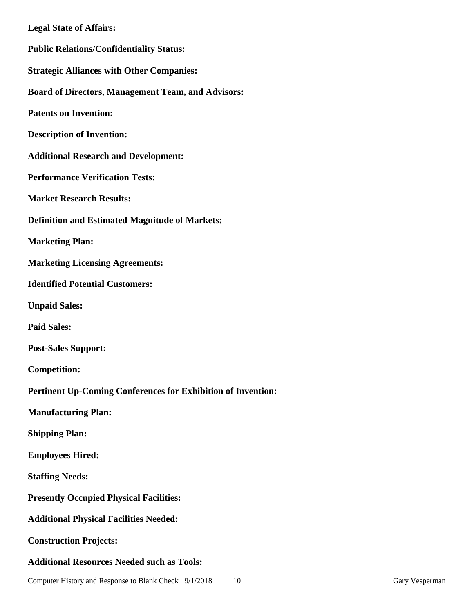| <b>Legal State of Affairs:</b>                               |
|--------------------------------------------------------------|
| <b>Public Relations/Confidentiality Status:</b>              |
| <b>Strategic Alliances with Other Companies:</b>             |
| <b>Board of Directors, Management Team, and Advisors:</b>    |
| <b>Patents on Invention:</b>                                 |
| <b>Description of Invention:</b>                             |
| <b>Additional Research and Development:</b>                  |
| <b>Performance Verification Tests:</b>                       |
| <b>Market Research Results:</b>                              |
| <b>Definition and Estimated Magnitude of Markets:</b>        |
| <b>Marketing Plan:</b>                                       |
| <b>Marketing Licensing Agreements:</b>                       |
| <b>Identified Potential Customers:</b>                       |
| <b>Unpaid Sales:</b>                                         |
| <b>Paid Sales:</b>                                           |
| <b>Post-Sales Support:</b>                                   |
| <b>Competition:</b>                                          |
| Pertinent Up-Coming Conferences for Exhibition of Invention: |
| <b>Manufacturing Plan:</b>                                   |
| <b>Shipping Plan:</b>                                        |
| <b>Employees Hired:</b>                                      |
| <b>Staffing Needs:</b>                                       |
| <b>Presently Occupied Physical Facilities:</b>               |
| <b>Additional Physical Facilities Needed:</b>                |
| <b>Construction Projects:</b>                                |
| <b>Additional Resources Needed such as Tools:</b>            |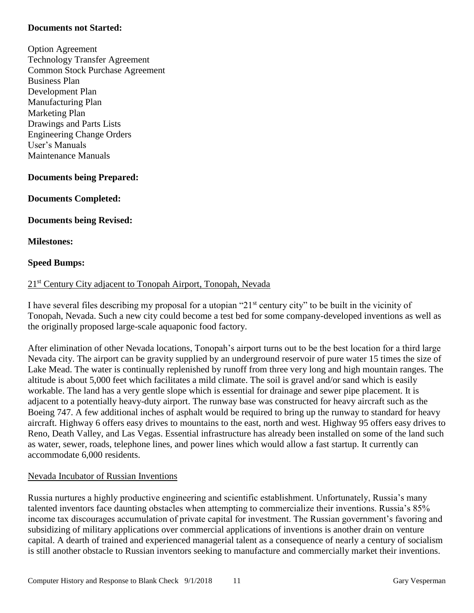#### **Documents not Started:**

Option Agreement Technology Transfer Agreement Common Stock Purchase Agreement Business Plan Development Plan Manufacturing Plan Marketing Plan Drawings and Parts Lists Engineering Change Orders User's Manuals Maintenance Manuals

#### **Documents being Prepared:**

#### **Documents Completed:**

**Documents being Revised:**

#### **Milestones:**

#### **Speed Bumps:**

#### 21<sup>st</sup> Century City adjacent to Tonopah Airport, Tonopah, Nevada

I have several files describing my proposal for a utopian "21st century city" to be built in the vicinity of Tonopah, Nevada. Such a new city could become a test bed for some company-developed inventions as well as the originally proposed large-scale aquaponic food factory.

After elimination of other Nevada locations, Tonopah's airport turns out to be the best location for a third large Nevada city. The airport can be gravity supplied by an underground reservoir of pure water 15 times the size of Lake Mead. The water is continually replenished by runoff from three very long and high mountain ranges. The altitude is about 5,000 feet which facilitates a mild climate. The soil is gravel and/or sand which is easily workable. The land has a very gentle slope which is essential for drainage and sewer pipe placement. It is adjacent to a potentially heavy-duty airport. The runway base was constructed for heavy aircraft such as the Boeing 747. A few additional inches of asphalt would be required to bring up the runway to standard for heavy aircraft. Highway 6 offers easy drives to mountains to the east, north and west. Highway 95 offers easy drives to Reno, Death Valley, and Las Vegas. Essential infrastructure has already been installed on some of the land such as water, sewer, roads, telephone lines, and power lines which would allow a fast startup. It currently can accommodate 6,000 residents.

#### Nevada Incubator of Russian Inventions

Russia nurtures a highly productive engineering and scientific establishment. Unfortunately, Russia's many talented inventors face daunting obstacles when attempting to commercialize their inventions. Russia's 85% income tax discourages accumulation of private capital for investment. The Russian government's favoring and subsidizing of military applications over commercial applications of inventions is another drain on venture capital. A dearth of trained and experienced managerial talent as a consequence of nearly a century of socialism is still another obstacle to Russian inventors seeking to manufacture and commercially market their inventions.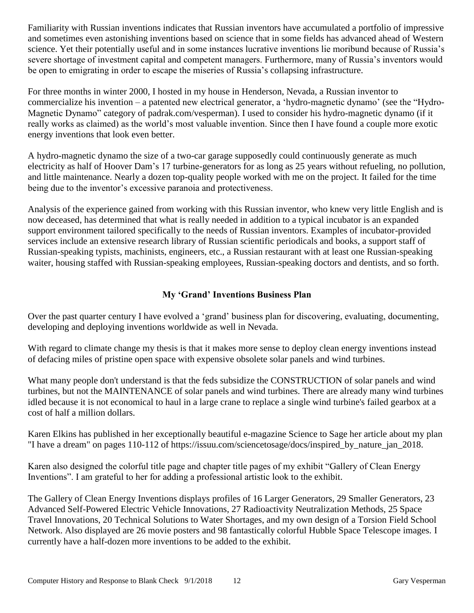Familiarity with Russian inventions indicates that Russian inventors have accumulated a portfolio of impressive and sometimes even astonishing inventions based on science that in some fields has advanced ahead of Western science. Yet their potentially useful and in some instances lucrative inventions lie moribund because of Russia's severe shortage of investment capital and competent managers. Furthermore, many of Russia's inventors would be open to emigrating in order to escape the miseries of Russia's collapsing infrastructure.

For three months in winter 2000, I hosted in my house in Henderson, Nevada, a Russian inventor to commercialize his invention – a patented new electrical generator, a 'hydro-magnetic dynamo' (see the "Hydro-Magnetic Dynamo" category of padrak.com/vesperman). I used to consider his hydro-magnetic dynamo (if it really works as claimed) as the world's most valuable invention. Since then I have found a couple more exotic energy inventions that look even better.

A hydro-magnetic dynamo the size of a two-car garage supposedly could continuously generate as much electricity as half of Hoover Dam's 17 turbine-generators for as long as 25 years without refueling, no pollution, and little maintenance. Nearly a dozen top-quality people worked with me on the project. It failed for the time being due to the inventor's excessive paranoia and protectiveness.

Analysis of the experience gained from working with this Russian inventor, who knew very little English and is now deceased, has determined that what is really needed in addition to a typical incubator is an expanded support environment tailored specifically to the needs of Russian inventors. Examples of incubator-provided services include an extensive research library of Russian scientific periodicals and books, a support staff of Russian-speaking typists, machinists, engineers, etc., a Russian restaurant with at least one Russian-speaking waiter, housing staffed with Russian-speaking employees, Russian-speaking doctors and dentists, and so forth.

## **My 'Grand' Inventions Business Plan**

Over the past quarter century I have evolved a 'grand' business plan for discovering, evaluating, documenting, developing and deploying inventions worldwide as well in Nevada.

With regard to climate change my thesis is that it makes more sense to deploy clean energy inventions instead of defacing miles of pristine open space with expensive obsolete solar panels and wind turbines.

What many people don't understand is that the feds subsidize the CONSTRUCTION of solar panels and wind turbines, but not the MAINTENANCE of solar panels and wind turbines. There are already many wind turbines idled because it is not economical to haul in a large crane to replace a single wind turbine's failed gearbox at a cost of half a million dollars.

Karen Elkins has published in her exceptionally beautiful e-magazine Science to Sage her article about my plan "I have a dream" on pages 110-112 of https://issuu.com/sciencetosage/docs/inspired\_by\_nature\_jan\_2018.

Karen also designed the colorful title page and chapter title pages of my exhibit "Gallery of Clean Energy Inventions". I am grateful to her for adding a professional artistic look to the exhibit.

The Gallery of Clean Energy Inventions displays profiles of 16 Larger Generators, 29 Smaller Generators, 23 Advanced Self-Powered Electric Vehicle Innovations, 27 Radioactivity Neutralization Methods, 25 Space Travel Innovations, 20 Technical Solutions to Water Shortages, and my own design of a Torsion Field School Network. Also displayed are 26 movie posters and 98 fantastically colorful Hubble Space Telescope images. I currently have a half-dozen more inventions to be added to the exhibit.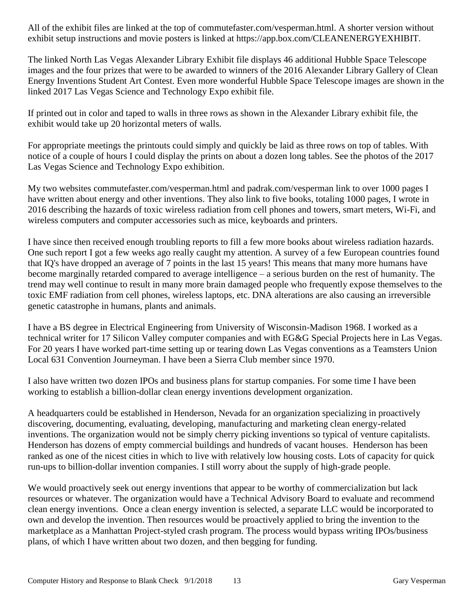All of the exhibit files are linked at the top of commutefaster.com/vesperman.html. A shorter version without exhibit setup instructions and movie posters is linked at https://app.box.com/CLEANENERGYEXHIBIT.

The linked North Las Vegas Alexander Library Exhibit file displays 46 additional Hubble Space Telescope images and the four prizes that were to be awarded to winners of the 2016 Alexander Library Gallery of Clean Energy Inventions Student Art Contest. Even more wonderful Hubble Space Telescope images are shown in the linked 2017 Las Vegas Science and Technology Expo exhibit file.

If printed out in color and taped to walls in three rows as shown in the Alexander Library exhibit file, the exhibit would take up 20 horizontal meters of walls.

For appropriate meetings the printouts could simply and quickly be laid as three rows on top of tables. With notice of a couple of hours I could display the prints on about a dozen long tables. See the photos of the 2017 Las Vegas Science and Technology Expo exhibition.

My two websites commutefaster.com/vesperman.html and padrak.com/vesperman link to over 1000 pages I have written about energy and other inventions. They also link to five books, totaling 1000 pages, I wrote in 2016 describing the hazards of toxic wireless radiation from cell phones and towers, smart meters, Wi-Fi, and wireless computers and computer accessories such as mice, keyboards and printers.

I have since then received enough troubling reports to fill a few more books about wireless radiation hazards. One such report I got a few weeks ago really caught my attention. A survey of a few European countries found that IQ's have dropped an average of 7 points in the last 15 years! This means that many more humans have become marginally retarded compared to average intelligence – a serious burden on the rest of humanity. The trend may well continue to result in many more brain damaged people who frequently expose themselves to the toxic EMF radiation from cell phones, wireless laptops, etc. DNA alterations are also causing an irreversible genetic catastrophe in humans, plants and animals.

I have a BS degree in Electrical Engineering from University of Wisconsin-Madison 1968. I worked as a technical writer for 17 Silicon Valley computer companies and with EG&G Special Projects here in Las Vegas. For 20 years I have worked part-time setting up or tearing down Las Vegas conventions as a Teamsters Union Local 631 Convention Journeyman. I have been a Sierra Club member since 1970.

I also have written two dozen IPOs and business plans for startup companies. For some time I have been working to establish a billion-dollar clean energy inventions development organization.

A headquarters could be established in Henderson, Nevada for an organization specializing in proactively discovering, documenting, evaluating, developing, manufacturing and marketing clean energy-related inventions. The organization would not be simply cherry picking inventions so typical of venture capitalists. Henderson has dozens of empty commercial buildings and hundreds of vacant houses. Henderson has been ranked as one of the nicest cities in which to live with relatively low housing costs. Lots of capacity for quick run-ups to billion-dollar invention companies. I still worry about the supply of high-grade people.

We would proactively seek out energy inventions that appear to be worthy of commercialization but lack resources or whatever. The organization would have a Technical Advisory Board to evaluate and recommend clean energy inventions. Once a clean energy invention is selected, a separate LLC would be incorporated to own and develop the invention. Then resources would be proactively applied to bring the invention to the marketplace as a Manhattan Project-styled crash program. The process would bypass writing IPOs/business plans, of which I have written about two dozen, and then begging for funding.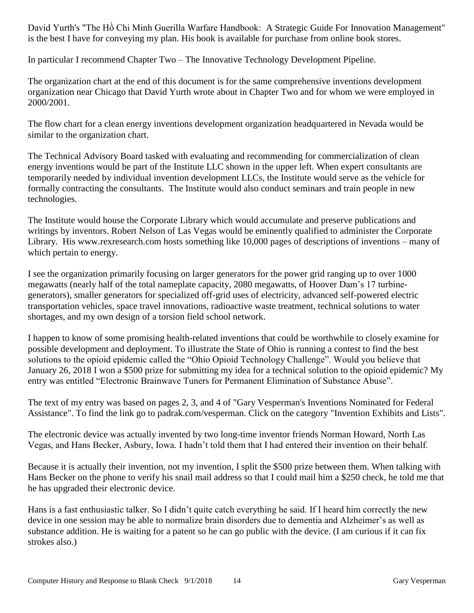David Yurth's "The Hồ Chi Minh Guerilla Warfare Handbook: A Strategic Guide For Innovation Management" is the best I have for conveying my plan. His book is available for purchase from online book stores.

In particular I recommend Chapter Two – The Innovative Technology Development Pipeline.

The organization chart at the end of this document is for the same comprehensive inventions development organization near Chicago that David Yurth wrote about in Chapter Two and for whom we were employed in 2000/2001.

The flow chart for a clean energy inventions development organization headquartered in Nevada would be similar to the organization chart.

The Technical Advisory Board tasked with evaluating and recommending for commercialization of clean energy inventions would be part of the Institute LLC shown in the upper left. When expert consultants are temporarily needed by individual invention development LLCs, the Institute would serve as the vehicle for formally contracting the consultants. The Institute would also conduct seminars and train people in new technologies.

The Institute would house the Corporate Library which would accumulate and preserve publications and writings by inventors. Robert Nelson of Las Vegas would be eminently qualified to administer the Corporate Library. His www.rexresearch.com hosts something like 10,000 pages of descriptions of inventions – many of which pertain to energy.

I see the organization primarily focusing on larger generators for the power grid ranging up to over 1000 megawatts (nearly half of the total nameplate capacity, 2080 megawatts, of Hoover Dam's 17 turbinegenerators), smaller generators for specialized off-grid uses of electricity, advanced self-powered electric transportation vehicles, space travel innovations, radioactive waste treatment, technical solutions to water shortages, and my own design of a torsion field school network.

I happen to know of some promising health-related inventions that could be worthwhile to closely examine for possible development and deployment. To illustrate the State of Ohio is running a contest to find the best solutions to the opioid epidemic called the "Ohio Opioid Technology Challenge". Would you believe that January 26, 2018 I won a \$500 prize for submitting my idea for a technical solution to the opioid epidemic? My entry was entitled "Electronic Brainwave Tuners for Permanent Elimination of Substance Abuse".

The text of my entry was based on pages 2, 3, and 4 of "Gary Vesperman's Inventions Nominated for Federal Assistance". To find the link go to padrak.com/vesperman. Click on the category "Invention Exhibits and Lists".

The electronic device was actually invented by two long-time inventor friends Norman Howard, North Las Vegas, and Hans Becker, Asbury, Iowa. I hadn't told them that I had entered their invention on their behalf.

Because it is actually their invention, not my invention, I split the \$500 prize between them. When talking with Hans Becker on the phone to verify his snail mail address so that I could mail him a \$250 check, he told me that he has upgraded their electronic device.

Hans is a fast enthusiastic talker. So I didn't quite catch everything he said. If I heard him correctly the new device in one session may be able to normalize brain disorders due to dementia and Alzheimer's as well as substance addition. He is waiting for a patent so he can go public with the device. (I am curious if it can fix strokes also.)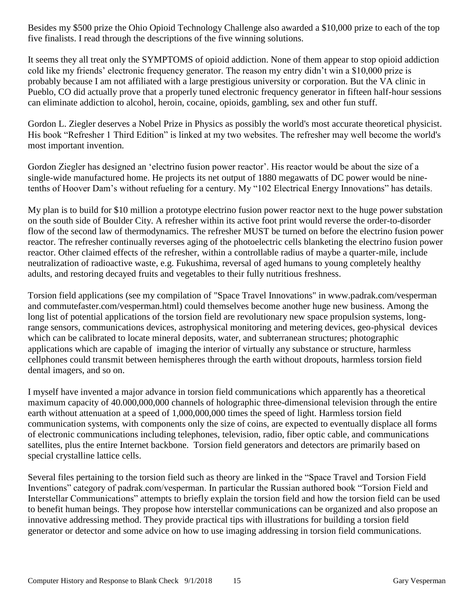Besides my \$500 prize the Ohio Opioid Technology Challenge also awarded a \$10,000 prize to each of the top five finalists. I read through the descriptions of the five winning solutions.

It seems they all treat only the SYMPTOMS of opioid addiction. None of them appear to stop opioid addiction cold like my friends' electronic frequency generator. The reason my entry didn't win a \$10,000 prize is probably because I am not affiliated with a large prestigious university or corporation. But the VA clinic in Pueblo, CO did actually prove that a properly tuned electronic frequency generator in fifteen half-hour sessions can eliminate addiction to alcohol, heroin, cocaine, opioids, gambling, sex and other fun stuff.

Gordon L. Ziegler deserves a Nobel Prize in Physics as possibly the world's most accurate theoretical physicist. His book "Refresher 1 Third Edition" is linked at my two websites. The refresher may well become the world's most important invention.

Gordon Ziegler has designed an 'electrino fusion power reactor'. His reactor would be about the size of a single-wide manufactured home. He projects its net output of 1880 megawatts of DC power would be ninetenths of Hoover Dam's without refueling for a century. My "102 Electrical Energy Innovations" has details.

My plan is to build for \$10 million a prototype electrino fusion power reactor next to the huge power substation on the south side of Boulder City. A refresher within its active foot print would reverse the order-to-disorder flow of the second law of thermodynamics. The refresher MUST be turned on before the electrino fusion power reactor. The refresher continually reverses aging of the photoelectric cells blanketing the electrino fusion power reactor. Other claimed effects of the refresher, within a controllable radius of maybe a quarter-mile, include neutralization of radioactive waste, e.g. Fukushima, reversal of aged humans to young completely healthy adults, and restoring decayed fruits and vegetables to their fully nutritious freshness.

Torsion field applications (see my compilation of "Space Travel Innovations" in www.padrak.com/vesperman and commutefaster.com/vesperman.html) could themselves become another huge new business. Among the long list of potential applications of the torsion field are revolutionary new space propulsion systems, longrange sensors, communications devices, astrophysical monitoring and metering devices, geo-physical devices which can be calibrated to locate mineral deposits, water, and subterranean structures; photographic applications which are capable of imaging the interior of virtually any substance or structure, harmless cellphones could transmit between hemispheres through the earth without dropouts, harmless torsion field dental imagers, and so on.

I myself have invented a major advance in torsion field communications which apparently has a theoretical maximum capacity of 40.000,000,000 channels of holographic three-dimensional television through the entire earth without attenuation at a speed of 1,000,000,000 times the speed of light. Harmless torsion field communication systems, with components only the size of coins, are expected to eventually displace all forms of electronic communications including telephones, television, radio, fiber optic cable, and communications satellites, plus the entire Internet backbone. Torsion field generators and detectors are primarily based on special crystalline lattice cells.

Several files pertaining to the torsion field such as theory are linked in the "Space Travel and Torsion Field Inventions" category of padrak.com/vesperman. In particular the Russian authored book "Torsion Field and Interstellar Communications" attempts to briefly explain the torsion field and how the torsion field can be used to benefit human beings. They propose how interstellar communications can be organized and also propose an innovative addressing method. They provide practical tips with illustrations for building a torsion field generator or detector and some advice on how to use imaging addressing in torsion field communications.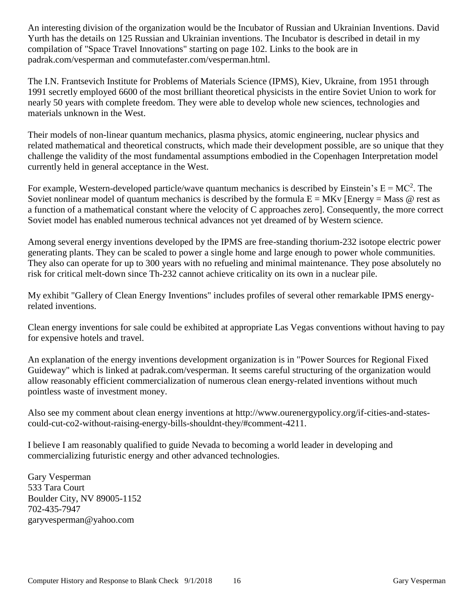An interesting division of the organization would be the Incubator of Russian and Ukrainian Inventions. David Yurth has the details on 125 Russian and Ukrainian inventions. The Incubator is described in detail in my compilation of "Space Travel Innovations" starting on page 102. Links to the book are in padrak.com/vesperman and commutefaster.com/vesperman.html.

The I.N. Frantsevich Institute for Problems of Materials Science (IPMS), Kiev, Ukraine, from 1951 through 1991 secretly employed 6600 of the most brilliant theoretical physicists in the entire Soviet Union to work for nearly 50 years with complete freedom. They were able to develop whole new sciences, technologies and materials unknown in the West.

Their models of non-linear quantum mechanics, plasma physics, atomic engineering, nuclear physics and related mathematical and theoretical constructs, which made their development possible, are so unique that they challenge the validity of the most fundamental assumptions embodied in the Copenhagen Interpretation model currently held in general acceptance in the West.

For example, Western-developed particle/wave quantum mechanics is described by Einstein's  $E = MC^2$ . The Soviet nonlinear model of quantum mechanics is described by the formula  $E = MKv$  [Energy = Mass @ rest as a function of a mathematical constant where the velocity of C approaches zero]. Consequently, the more correct Soviet model has enabled numerous technical advances not yet dreamed of by Western science.

Among several energy inventions developed by the IPMS are free-standing thorium-232 isotope electric power generating plants. They can be scaled to power a single home and large enough to power whole communities. They also can operate for up to 300 years with no refueling and minimal maintenance. They pose absolutely no risk for critical melt-down since Th-232 cannot achieve criticality on its own in a nuclear pile.

My exhibit "Gallery of Clean Energy Inventions" includes profiles of several other remarkable IPMS energyrelated inventions.

Clean energy inventions for sale could be exhibited at appropriate Las Vegas conventions without having to pay for expensive hotels and travel.

An explanation of the energy inventions development organization is in "Power Sources for Regional Fixed Guideway" which is linked at padrak.com/vesperman. It seems careful structuring of the organization would allow reasonably efficient commercialization of numerous clean energy-related inventions without much pointless waste of investment money.

Also see my comment about clean energy inventions at http://www.ourenergypolicy.org/if-cities-and-statescould-cut-co2-without-raising-energy-bills-shouldnt-they/#comment-4211.

I believe I am reasonably qualified to guide Nevada to becoming a world leader in developing and commercializing futuristic energy and other advanced technologies.

Gary Vesperman 533 Tara Court Boulder City, NV 89005-1152 702-435-7947 garyvesperman@yahoo.com